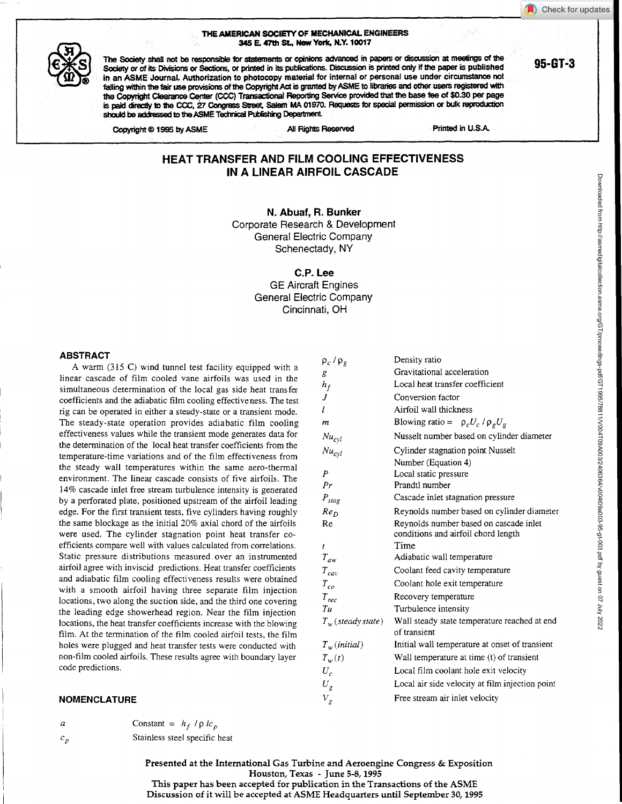# **THE AMERICAN SOCIETY OF MECHANICAL ENGINEERS 345 E. 47th St, New York, N.Y 10017**



**S The Society shall not be responsible for statements or opinions advanced in papers or discussion at meetings of the Society or of its Divisions or Sections, or printed in its publications. Discussion is printed only if the paper is published 95 1-3 in an ASME Journal. Authorization to photocopy material for internal or personal use under circumstance not falling within the fair use provisions of the Copyright Act is granted by ASME to libraries and other users registered with the Copyright Clearance Center (CCC) Transactional Reporting Service provided that the base fee of \$0.30 per page** is paid directly to the CCC, 27 Congress Street, Salem MA 01970. Requests for special permission or bulk reproduction **should be addressed to the ASME Tedmicaf Publishing Department.**

**Copyright @1995 by ASME All Rights Reserved Printed in U.S.A.**

# **HEAT TRANSFER AND FILM COOLING EFFECTIVENESS IN A LINEAR AIRFOIL CASCADE**

**N. Abuaf, R. Bunker** Corporate Research & Development General Electric Company Schenectady, NY

> **C.P. Lee** GE Aircraft Engines

General Electric Company Cincinnati, OH

## **ABSTRACT**

A warm (315 C) wind tunnel test facility equipped with a linear cascade of film cooled vane airfoils was used in the simultaneous determination of the local gas side heat transfer coefficients and the adiabatic film cooling effectiveness. The test rig can be operated in either a steady-state or a transient mode. The steady-state operation provides adiabatic film cooling effectiveness values while the transient mode generates data for the determination of the local heat transfer coefficients from the temperature-time variations and of the film effectiveness from the steady wall temperatures within the same aero-thermal environment. The linear cascade consists of five airfoils. The 14% cascade inlet free stream turbulence intensity is generated by a perforated plate, positioned upstream of the airfoil leading edge. For the first transient tests, five cylinders having roughly the same blockage as the initial 20% axial chord of the airfoils were used. The cylinder stagnation point heat transfer coefficients compare well with values calculated from correlations. Static pressure distributions measured over an instrumented airfoil agree with inviscid predictions. Heat transfer coefficients and adiabatic film cooling effectiveness results were obtained with a smooth airfoil having three separate film injection locations, two along the suction side, and the third one covering the leading edge showerhead region. Near the film injection locations, the heat transfer coefficients increase with the blowing film. At the termination of the film cooled airfoil tests, the film holes were plugged and heat transfer tests were conducted with non-film cooled airfoils. These results agree with boundary layer code predictions.

# **NOMENCLATURE**

 $\boldsymbol{a}$ 

Constant =  $h_f / \rho \, lc_p$ 

 $c_p$  Stainless steel specific heat

| $\rho_c / \rho_g$    | Density ratio                                   |
|----------------------|-------------------------------------------------|
| 8                    | Gravitational acceleration                      |
| $h_f$                | Local heat transfer coefficient                 |
| J                    | Conversion factor                               |
| $\prime$             | Airfoil wall thickness                          |
| m                    | Blowing ratio = $\rho_c U_c / \rho_g U_g$       |
| $Nu_{cyl}$           | Nusselt number based on cylinder diameter       |
| $Nu_{cyl}$           | Cylinder stagnation point Nusselt               |
|                      | Number (Equation 4)                             |
| $\boldsymbol{P}$     | Local static pressure                           |
| Pr                   | Prandtl number                                  |
| $P_{stag}$           | Cascade inlet stagnation pressure               |
| Re <sub>D</sub>      | Reynolds number based on cylinder diameter      |
| Re                   | Reynolds number based on cascade inlet          |
|                      | conditions and airfoil chord length             |
| $\boldsymbol{t}$     | Time                                            |
| $T_{aw}$             | Adiabatic wall temperature                      |
| $T_{cav}$            | Coolant feed cavity temperature                 |
| $T_{co}$             | Coolant hole exit temperature                   |
| $T_{rec}$            | Recovery temperature                            |
| Tи                   | Turbulence intensity                            |
| $T_w$ (steady state) | Wall steady state temperature reached at end    |
|                      | of transient                                    |
| $T_w$ (initial)      | Initial wall temperature at onset of transient  |
| $T_w(t)$             | Wall temperature at time (t) of transient       |
| $U_c$                | Local film coolant hole exit velocity           |
| $U_g$                | Local air side velocity at film injection point |
| $V_{\rho}$           | Free stream air inlet velocity                  |

Downloaded from http://asmedigitalcollection.asme.org/GT/proceedings-pdf/GT1995/78811/V004T09A003/2406364/v004t09a003-95-gt-003.pdf by guest on 07 July 2022

Downloaded from http://lasmedigitalcollection.asme.org/GT/proceedings-pdf/GT199517/2001709A00304/00409404/0040999636-gt-003.pdf by guest on 07 July 2022

Check for updates

**Presented at the International Gas Turbine and Aeroengine Congress** & **Exposition Houston, Texas - June** 5-**8,1995**

**This paper has been accepted** for publication in the Transactions **of the ASME Discussion of it will be accepted at ASME Headquarters until September 30, 1995**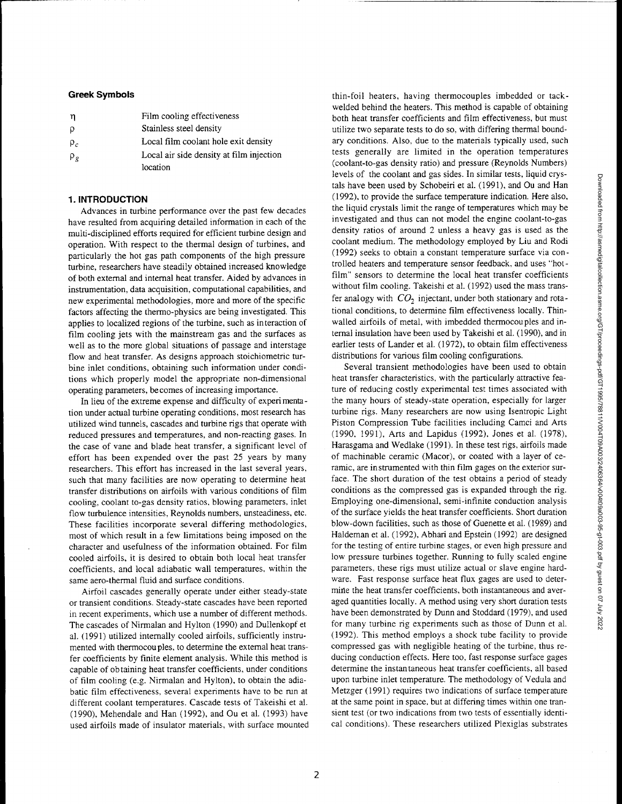# **Greek Symbols**

| $\mathsf{n}$     | Film cooling effectiveness               |
|------------------|------------------------------------------|
| p                | Stainless steel density                  |
| $\rho_c$         | Local film coolant hole exit density     |
| $\rho_{\varrho}$ | Local air side density at film injection |
|                  | location                                 |

# **1. INTRODUCTION**

Advances in turbine performance over the past few decades have resulted from acquiring detailed information in each of the multi-disciplined efforts required for efficient turbine design and operation. With respect to the thermal design of turbines, and particularly the hot gas path components of the high pressure turbine, researchers have steadily obtained increased knowledge of both external and internal heat transfer. Aided by advances in instrumentation, data acquisition, computational capabilities, and new experimental methodologies, more and more of the specific factors affecting the thermo-physics are being investigated. This applies to localized regions of the turbine, such as interaction of film cooling jets with the mainstream gas and the surfaces as well as to the more global situations of passage and interstage flow and heat transfer. As designs approach stoichiometric turbine inlet conditions, obtaining such information under conditions which properly model the appropriate non-dimensional operating parameters, becomes of increasing importance.

In lieu of the extreme expense and difficulty of experimentation under actual turbine operating conditions, most research has utilized wind tunnels, cascades and turbine rigs that operate with reduced pressures and temperatures, and non-reacting gases. In the case of vane and blade heat transfer, a significant level of effort has been expended over the past 25 years by many researchers. This effort has increased in the last several years, such that many facilities are now operating to determine heat transfer distributions on airfoils with various conditions of film cooling, coolant to-gas density ratios, blowing parameters, inlet flow turbulence intensities, Reynolds numbers, unsteadiness, etc. These facilities incorporate several differing methodologies, most of which result in a few limitations being imposed on the character and usefulness of the information obtained. For film cooled airfoils, it is desired to obtain both local heat transfer coefficients, and local adiabatic wall temperatures, within the same aero-thermal fluid and surface conditions.

Airfoil cascades generally operate under either steady-state or transient conditions. Steady-state cascades have been reported in recent experiments, which use a number of different methods. The cascades of Nirmalan and Hylton (1990) and Dullenkopf et al. (1991) utilized internally cooled airfoils, sufficiently instrumented with thermocouples, to determine the external heat transfer coefficients by finite element analysis. While this method is capable of obtaining heat transfer coefficients, under conditions of film cooling (e.g. Nirmalan and Hylton), to obtain the adiabatic film effectiveness, several experiments have to be run at different coolant temperatures. Cascade tests of Takeishi et al. (1990), Mehendale and Han (1992), and Ou et al. (1993) have used airfoils made of insulator materials, with surface mounted

thin-foil heaters, having thermocouples imbedded or tackwelded behind the heaters. This method is capable of obtaining both heat transfer coefficients and film effectiveness, but must utilize two separate tests to do so, with differing thermal boundary conditions. Also, due to the materials typically used, such tests generally are limited in the operation temperatures (coolant-to-gas density ratio) and pressure (Reynolds Numbers) levels of the coolant and gas sides. In similar tests, liquid crystals have been used by Schobeiri et al. (1991), and Ou and Han (1992), to provide the surface temperature indication. Here also, the liquid crystals limit the range of temperatures which may be investigated and thus can not model the engine coolant-to-gas density ratios of around 2 unless a heavy gas is used as the coolant medium. The methodology employed by Liu and Rodi (1992) seeks to obtain a constant temperature surface via controlled heaters and temperature sensor feedback, and uses "hotfilm" sensors to determine the local heat transfer coefficients without film cooling. Takeishi et al. (1992) used the mass transfer analogy with  $CO<sub>2</sub>$  injectant, under both stationary and rotational conditions, to determine film effectiveness locally. Thinwalled airfoils of metal, with imbedded thermocouples and internal insulation have been used by Takeishi et al. (1990), and in earlier tests of Lander et al. (1972), to obtain film effectiveness distributions for various film cooling configurations.

Several transient methodologies have been used to obtain heat transfer characteristics, with the particularly attractive feature of reducing costly experimental test times associated with the many hours of steady-state operation, especially for larger turbine rigs. Many researchers are now using Isentropic Light Piston Compression Tube facilities including Camci and Arts (1990, 1991), Arts and Lapidus (1992), Jones et al. (1978), Harasgama and Wedlake (1991). In these test rigs, airfoils made of machinable ceramic (Macor), or coated with a layer of ceramic, are instrumented with thin film gages on the exterior surface. The short duration of the test obtains a period of steady conditions as the compressed gas is expanded through the rig. Employing one-dimensional, semi-infinite conduction analysis of the surface yields the heat transfer coefficients. Short duration blow-down facilities, such as those of Guenette et al. (1989) and Haldeman et al. (1992), Abhari and Epstein (1992) are designed for the testing of entire turbine stages, or even high pressure and low pressure turbines together. Running to fully scaled engine parameters, these rigs must utilize actual or slave engine hardware. Fast response surface heat flux gages are used to determine the heat transfer coefficients, both instantaneous and averaged quantities locally. A method using very short duration tests have been demonstrated by Dunn and Stoddard (1979), and used for many turbine rig experiments such as those of Dunn et al. (1992). This method employs a shock tube facility to provide compressed gas with negligible heating of the turbine, thus reducing conduction effects. Here too, fast response surface gages determine the instantaneous heat transfer coefficients, all based upon turbine inlet temperature. The methodology of Vedula and Metzger (1991) requires two indications of surface temperature at the same point in space, but at differing times within one transient test (or two indications from two tests of essentially identical conditions). These researchers utilized Plexiglas substrates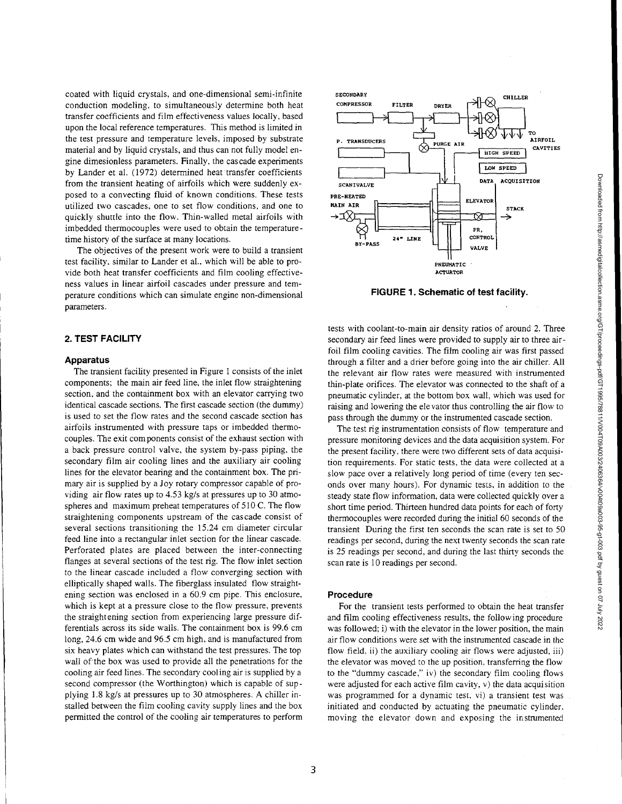coated with liquid crystals, and one-dimensional semi-infinite conduction modeling, to simultaneously determine both heat transfer coefficients and film effectiveness values locally, based upon the local reference temperatures. This method is limited in the test pressure and temperature levels, imposed by substrate material and by liquid crystals, and thus can not fully model engine dimesionless parameters. Finally, the cascade experiments by Lander et al. (1972) determined heat transfer coefficients from the transient heating of airfoils which were suddenly exposed to a convecting fluid of known conditions. These tests utilized two cascades, one to set flow conditions, and one to quickly shuttle into the flow. Thin-walled metal airfoils with imbedded thermocouples were used to obtain the temperaturetime history of the surface at many locations.

The objectives of the present work were to build a transient test facility, similar to Lander et al., which will be able to provide both heat transfer coefficients and film cooling effectiveness values in linear airfoil cascades under pressure and temperature conditions which can simulate engine non-dimensional parameters.

#### 2. TEST FACILITY

### Apparatus

The transient facility presented in Figure 1 consists of the inlet components; the main air feed line, the inlet flow straightening section, and the containment box with an elevator carrying two identical cascade sections. The first cascade section (the dummy) is used to set the flow rates and the second cascade section has airfoils instrumented with pressure taps or imbedded thermocouples. The exit components consist of the exhaust section with a back pressure control valve, the system by-pass piping, the secondary film air cooling lines and the auxiliary air cooling lines for the elevator bearing and the containment box. The primary air is supplied by a Joy rotary compressor capable of providing air flow rates up to 4.53 kg/s at pressures up to 30 atmospheres and maximum preheat temperatures of 510 C. The flow straightening components upstream of the cascade consist of several sections transitioning the 15.24 cm diameter circular feed line into a rectangular inlet section for the linear cascade. Perforated plates are placed between the inter-connecting flanges at several sections of the test rig. The flow inlet section to the linear cascade included a flow converging section with elliptically shaped walls. The fiberglass insulated flow straightening section was enclosed in a 60.9 cm pipe. This enclosure, which is kept at a pressure close to the flow pressure, prevents the straightening section from experiencing large pressure differentials across its side walls. The containment box is 99.6 cm long, 24.6 cm wide and 96.5 cm high, and is manufactured from six heavy plates which can withstand the test pressures. The top wall of the box was used to provide all the penetrations for the cooling air feed lines. The secondary cooling air is supplied by a second compressor (the Worthington) which is capable of supplying 1.8 kg/s at pressures up to 30 atmospheres. A chiller installed between the film cooling cavity supply lines and the box permitted the control of the cooling air temperatures to perform



FIGURE 1. Schematic of test facility.

tests with coolant-to-main air density ratios of around 2. Three secondary air feed lines were provided to supply air to three airfoil film cooling cavities. The film cooling air was first passed through a filter and a drier before going into the air chiller. All the relevant air flow rates were measured with instrumented thin-plate orifices. The elevator was connected to the shaft of a pneumatic cylinder, at the bottom box wall, which was used for raising and lowering the elevator thus controlling the air flow to pass through the dummy or the instrumented cascade section.

The test rig instrumentation consists of flow temperature and pressure monitoring devices and the data acquisition system. For the present facility, there were two different sets of data acquisition requirements. For static tests, the data were collected at a slow pace over a relatively long period of time (every ten seconds over many hours). For dynamic tests, in addition to the steady state flow information, data were collected quickly over a short time period. Thirteen hundred data points for each of forty thermocouples were recorded during the initial 60 seconds of the transient During the first ten seconds the scan rate is set to 50 readings per second, during the next twenty seconds the scan rate is 25 readings per second, and during the last thirty seconds the scan rate is 10 readings per second.

#### Procedure

For the transient tests performed to obtain the heat transfer and film cooling effectiveness results, the following procedure was followed; i) with the elevator in the lower position, the main air flow conditions were set with the instrumented cascade in the flow field, ii) the auxiliary cooling air flows were adjusted, iii) the elevator was moved to the up position, transferring the flow to the "dummy cascade," iv) the secondary film cooling flows were adjusted for each active film cavity, v) the data acquisition was programmed for a dynamic test, vi) a transient test was initiated and conducted by actuating the pneumatic cylinder, moving the elevator down and exposing the instrumented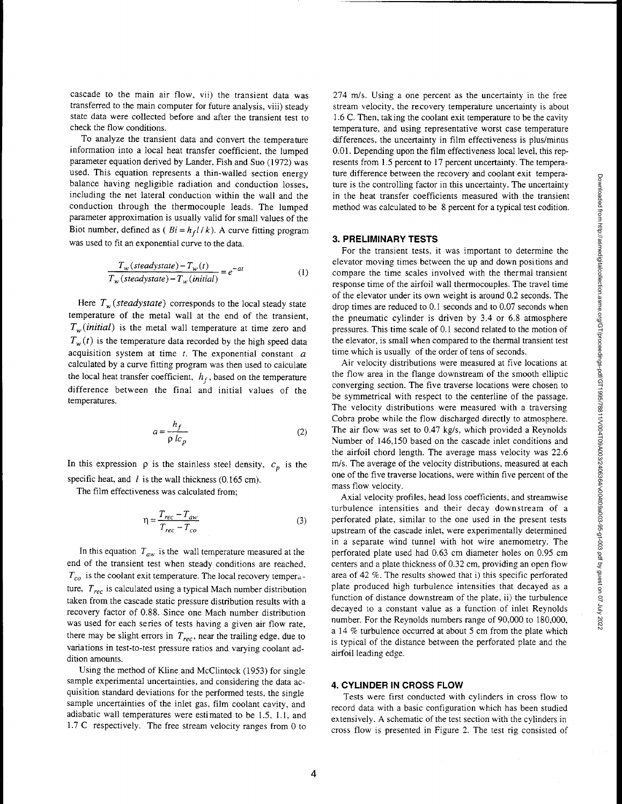cascade to the main air flow, vii) the transient data was transferred to the main computer for future analysis, viii) steady state data were collected before and after the transient test to check the flow conditions.

To analyze the transient data and convert the temperature information into a local heat transfer coefficient, the lumped parameter equation derived by Lander, Fish and Suo (1972) was used. This equation represents a thin-walled section energy balance having negligible radiation and conduction losses, including the net lateral conduction within the wall and the conduction through the thermocouple leads. The lumped parameter approximation is usually valid for small values of the Biot number, defined as ( $Bi = h_f l / k$ ). A curve fitting program was used to fit an exponential curve to the data.<br>  $\frac{T_w (steady state) - T_w(t)}{T_w (standard) - T_w (initial)} = e^{-at}$  (1) was used to fit an exponential curve to the data.

$$
\frac{T_w(\text{steadystate}) - T_w(t)}{T_w(\text{steadystate}) - T_w(\text{initial})} = e^{-at}
$$
\n(1)

Here  $T_w$  (steadystate) corresponds to the local steady state temperature of the metal wall at the end of the transient, *T<sup>w</sup> (initial)* is the metal wall temperature at time zero and  $T_w(t)$  is the temperature data recorded by the high speed data acquisition system at time *t.* The exponential constant *a* calculated by a curve fitting program was then used to calculate the local heat transfer coefficient,  $h_f$ , based on the temperature difference between the final and initial values of the temperatures. detail wall at the end of the transient,<br>
etal wall temperature at time zero and<br>
ure data recorded by the high speed data<br>
t time t. The exponential constant a<br>
ditting program was then used to calculate<br>
coefficient,  $h$ 

$$
a = \frac{h_f}{\rho \, lc_p} \tag{2}
$$

In this expression  $\rho$  is the stainless steel density,  $c_p$  is the specific heat, and  $l$  is the wall thickness (0.165 cm).

The film effectiveness was calculated from;

\n
$$
\rho
$$
 is the stainless steel density,  $c_p$  is the risk, the wall thickness (0.165 cm).\n

\n\n $\rho = \frac{T_{rec} - T_{aw}}{T_{rec} - T_{co}}$ \n

\n\n (3)\n

In this equation  $T_{aw}$  is the wall temperature measured at the end of the transient test when steady conditions are reached, *Tco* is the coolant exit temperature. The local recovery tempera ture, *TTec* is calculated using a typical Mach number distribution taken from the cascade static pressure distribution results with a recovery factor of 0.88. Since one Mach number distribution was used for each series of tests having a given air flow rate, there may be slight errors in  $T_{rec}$ , near the trailing edge, due to variations in test-to-test pressure ratios and varying coolant addition amounts.

Using the method of Kline and McClintock (1953) for single sample experimental uncertainties, and considering the data acquisition standard deviations for the performed tests, the single sample uncertainties of the inlet gas, film coolant cavity, and adiabatic wall temperatures were estimated to be 1.5, 1.1, and 1.7 C respectively. The free stream velocity ranges from 0 to

274 m/s. Using a one percent as the uncertainty in the free stream velocity, the recovery temperature uncertainty is about 1.6 C. Then, taking the coolant exit temperature to be the cavity temperature, and using representative worst case temperature differences, the uncertainty in film effectiveness is plus/minus 0.01. Depending upon the film effectiveness local level, this represents from 1.5 percent to 17 percent uncertainty. The temperature difference between the recovery and coolant exit temperature is the controlling factor in this uncertainty. The uncertainty in the heat transfer coefficients measured with the transient method was calculated to be 8 percent for a typical test codition.

# **3. PRELIMINARY TESTS**

For the transient tests, it was important to determine the elevator moving times between the up and down positions and compare the time scales involved with the thermal transient response time of the airfoil wall thermocouples. The travel time of the elevator under its own weight is around 0.2 seconds. The drop times are reduced to 0.1 seconds and to 0.07 seconds when the pneumatic cylinder is driven by 3.4 or 6.8 atmosphere pressures. This time scale of 0.1 second related to the motion of the elevator, is small when compared to the thermal transient test time which is usually of the order of tens of seconds.

Air velocity distributions were measured at five locations at the flow area in the flange downstream of the smooth elliptic converging section. The five traverse locations were chosen to be symmetrical with respect to the centerline of the passage. The velocity distributions were measured with a traversing Cobra probe while the flow discharged directly to atmosphere. The air flow was set to 0.47 kg/s, which provided a Reynolds Number of 146,150 based on the cascade inlet conditions and the airfoil chord length. The average mass velocity was 22.6 m/s. The average of the velocity distributions, measured at each one of the five traverse locations, were within five percent of the mass flow velocity.

Axial velocity profiles, head loss coefficients, and streamwise turbulence intensities and their decay downstream of a perforated plate, similar to the one used in the present tests upstream of the cascade inlet, were experimentally determined in a separate wind tunnel with hot wire anemometry. The perforated plate used had 0.63 cm diameter holes on 0.95 cm centers and a plate thickness of 0.32 cm, providing an open flow area of 42 %. The results showed that i) this specific perforated plate produced high turbulence intensities that decayed as a function of distance downstream of the plate, ii) the turbulence decayed to a constant value as a function of inlet Reynolds number. For the Reynolds numbers range of 90,000 to 180,000. a 14 % turbulence occurred at about 5 cm from the plate which is typical of the distance between the perforated plate and the airfoil leading edge.

# **4.CYLINDER IN CROSS FLOW**

Tests were first conducted with cylinders in cross flow to record data with a basic configuration which has been studied extensively. A schematic of the test section with the cylinders in cross flow is presented in Figure 2. The test rig consisted of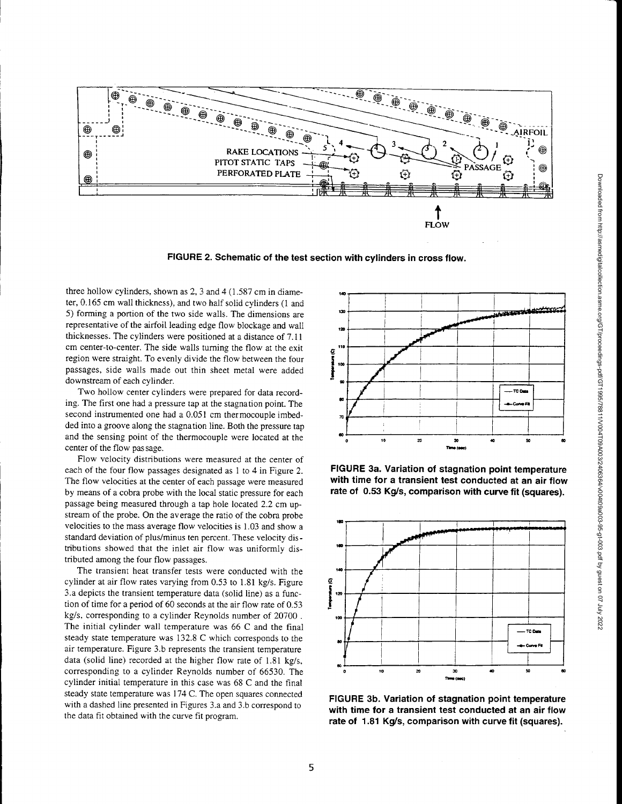

FIGURE 2. Schematic of the test section with cylinders in cross flow.

three hollow cylinders, shown as 2, 3 and 4 (1.587 cm in diameter, 0.165 cm wall thickness), and two half solid cylinders (1 and 5) forming a portion of the two side walls. The dimensions are representative of the airfoil leading edge flow blockage and wall thicknesses. The cylinders were positioned at a distance of 7.11 cm center-to-center. The side walls turning the flow at the exit region were straight. To evenly divide the flow between the four passages, side walls made out thin sheet metal were added downstream of each cylinder.

Two hollow center cylinders were prepared for data recording. The first one had a pressure tap at the stagnation point. The second instrumented one had a 0.051 cm thermocouple imbedded into a groove along the stagnation line. Both the pressure tap and the sensing point of the thermocouple were located at the center of the flow pas sage.

Flow velocity distributions were measured at the center of each of the four flow passages designated as 1 to 4 in Figure 2. The flow velocities at the center of each passage were measured by means of a cobra probe with the local static pressure for each passage being measured through a tap hole located 2.2 cm upstream of the probe. On the average the ratio of the cobra probe velocities to the mass average flow velocities is 1.03 and show a standard deviation of plus/minus ten percent. These velocity dis tributions showed that the inlet air flow was uniformly distributed among the four flow passages.

The transient heat transfer tests were conducted with the cylinder at air flow rates varying from 0.53 to 1.81 kg/s. Figure 3.a depicts the transient temperature data (solid line) as a function of time for a period of 60 seconds at the air flow rate of 0.53 kg/s, corresponding to a cylinder Reynolds number of 20700 . The initial cylinder wall temperature was 66 C and the final steady state temperature was 132.8 C which corresponds to the air temperature. Figure 3.b represents the transient temperature data (solid line) recorded at the higher flow rate of 1.81 kg/s, corresponding to a cylinder Reynolds number of 66530. The cylinder initial temperature in this case was 68 C and the final steady state temperature was 174 C. The open squares connected with a dashed line presented in Figures 3.a and 3.b correspond to the data fit obtained with the curve fit program.



FIGURE 3a. Variation of stagnation point temperature with time for a transient test conducted at an air flow rate of 0.53 Kg/s, comparison with curve fit (squares).



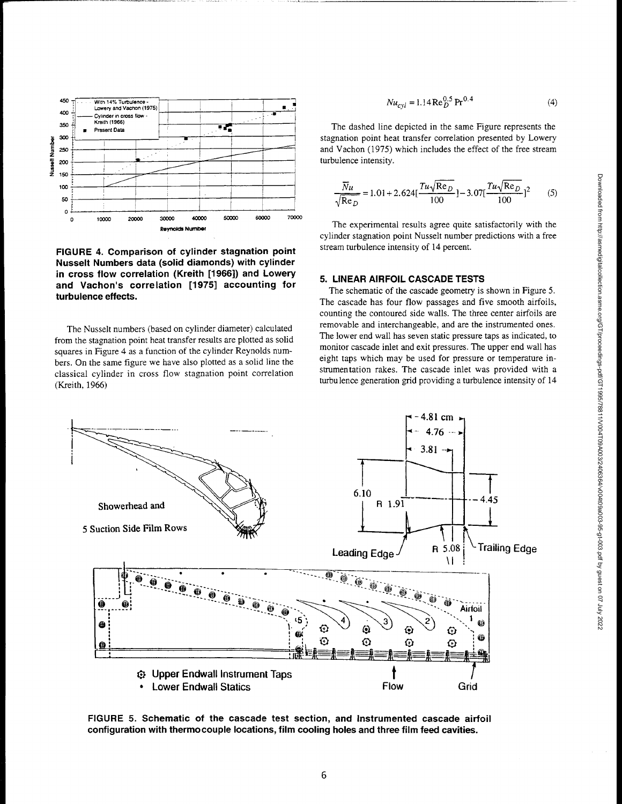

FIGURE 4. Comparison of cylinder stagnation point Nusselt Numbers data (solid diamonds) with cylinder in cross flow correlation (Kreith [1966]) and Lowery and Vachon's correlation [1975] accounting for turbulence effects.

The Nusselt numbers (based on cylinder diameter) calculated from the stagnation point heat transfer results are plotted as solid squares in Figure 4 as a function of the cylinder Reynolds numbers. On the same figure we have also plotted as a solid line the classical cylinder in cross flow stagnation point correlation (Kreith, 1966)

$$
Nu_{cyl} = 1.14 \,\text{Re}_{D}^{0.5} \,\text{Pr}^{0.4} \tag{4}
$$

The dashed line depicted in the same Figure represents the stagnation point heat transfer correlation presented by Lowery and Vachon (1975) which includes the effect of the free stream turbulence intensity.

$$
\frac{\overline{N}u}{\sqrt{\text{Re}_D}} = 1.01 + 2.624 \left[ \frac{T u \sqrt{\text{Re}_D}}{100} \right] - 3.07 \left[ \frac{T u \sqrt{\text{Re}_D}}{100} \right]^2 \tag{5}
$$

The experimental results agree quite satisfactorily with the cylinder stagnation point Nusselt number predictions with a free stream turbulence intensity of 14 percent.

# 5. LINEAR AIRFOIL CASCADE TESTS

The schematic of the cascade geometry is shown in Figure 5. The cascade has four flow passages and five smooth airfoils, counting the contoured side walls. The three center airfoils are removable and interchangeable, and are the instrumented ones. The lower end wall has seven static pressure taps as indicated, to monitor cascade inlet and exit pressures. The upper end wall has eight taps which may be used for pressure or temperature instrumentation rakes. The cascade inlet was provided with a turbulence generation grid providing a turbulence intensity of 14



FIGURE 5. Schematic of the cascade test section, and Instrumented cascade airfoil configuration with thermocouple locations, film cooling holes and three film feed cavities.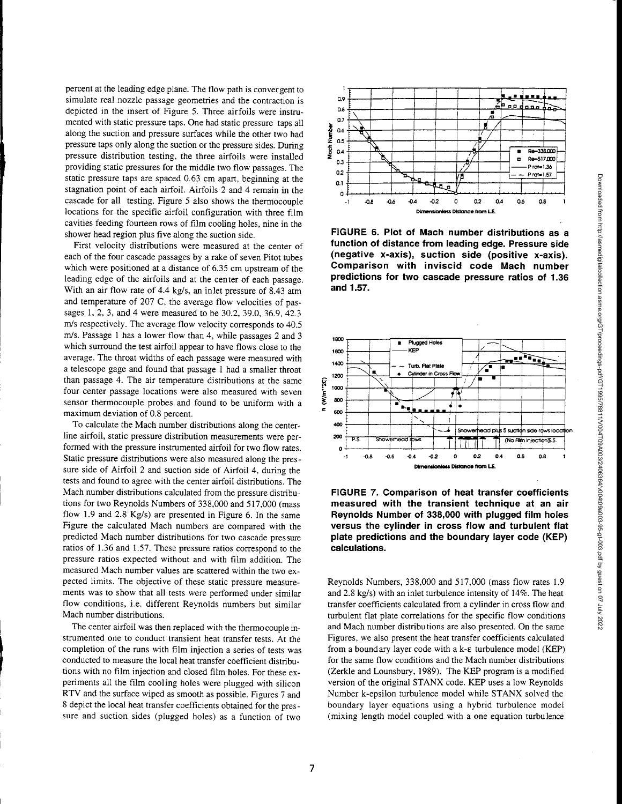Downloaded from http://lasmedigitalcollection.asme.org/GT/proceedings-pdf/GT199517/2001709A00304/00409404/0040999636-gt-003.pdf by guest on 07 July 2022 Downloaded from http://asmedigitalcollection.asme.org/GT/proceedings-pdf/GT1995/78811/V004T09A003/2406364/v004t09a003-95-gt-003.pdf by guest on 07 July 2022

percent at the leading edge plane. The flow path is convergent to simulate real nozzle passage geometries and the contraction is depicted in the insert of Figure 5. Three airfoils were instrumented with static pressure taps. One had static pressure taps all along the suction and pressure surfaces while the other two had pressure taps only along the suction or the pressure sides. During pressure distribution testing, the three airfoils were installed providing static pressures for the middle two flow passages. The static pressure taps are spaced 0.63 cm apart, beginning at the stagnation point of each airfoil. Airfoils 2 and 4 remain in the cascade for all testing. Figure 5 also shows the thermocouple locations for the specific airfoil configuration with three film cavities feeding fourteen rows of film cooling holes, nine in the shower head region plus five along the suction side.

First velocity distributions were measured at the center of each of the four cascade passages by a rake of seven Pitot tubes which were positioned at a distance of 6.35 cm upstream of the leading edge of the airfoils and at the center of each passage. With an air flow rate of 4.4 kg/s, an inlet pressure of 8.43 atm and temperature of 207 C, the average flow velocities of passages 1, 2, 3, and 4 were measured to be 30.2, 39.0, 36.9, 42.3 m/s respectively. The average flow velocity corresponds to 40.5 m/s. Passage 1 has a lower flow than 4, while passages 2 and 3 which surround the test airfoil appear to have flows close to the average. The throat widths of each passage were measured with a telescope gage and found that passage 1 had a smaller throat than passage 4. The air temperature distributions at the same four center passage locations were also measured with seven sensor thermocouple probes and found to be uniform with a maximum deviation of 0.8 percent.

To calculate the Mach number distributions along the centerline airfoil, static pressure distribution measurements were performed with the pressure instrumented airfoil for two flow rates. Static pressure distributions were also measured along the pressure side of Airfoil 2 and suction side of Airfoil 4, during the tests and found to agree with the center airfoil distributions. The Mach number distributions calculated from the pressure distributions for two Reynolds Numbers of 338,000 and 517,000 (mass flow 1.9 and 2.8 Kg/s) are presented in Figure 6. In the same Figure the calculated Mach numbers are compared with the predicted Mach number distributions for two cascade pressure ratios of 1.36 and 1.57. These pressure ratios correspond to the pressure ratios expected without and with film addition. The measured Mach number values are scattered within the two expected limits. The objective of these static pressure measurements was to show that all tests were performed under similar flow conditions, i.e. different Reynolds numbers but similar Mach number distributions.

The center airfoil was then replaced with the thermocouple instrumented one to conduct transient heat transfer tests. At the completion of the runs with film injection a series of tests was conducted to measure the local heat transfer coefficient distributions with no film injection and closed film holes. For these experiments all the film cooling holes were plugged with silicon RTV and the surface wiped as smooth as possible. Figures 7 and 8 depict the local heat transfer coefficients obtained for the pressure and suction sides (plugged holes) as a function of two



**FIGURE 6. Plot of Mach number distributions as a function of distance from leading edge. Pressure side (negative x-axis), suction side (positive x-axis). Comparison with inviscid code Mach number predictions for two cascade pressure ratios of 1.36 and 1.57.**



**FIGURE 7. Comparison of heat transfer coefficients measured with the transient technique at an air Reynolds Number of 338,000 with plugged film holes versus the cylinder in cross flow and turbulent flat plate predictions and the boundary layer code (KEP) calculations.**

Reynolds Numbers, 338,000 and 517,000 (mass flow rates 1.9 and 2.8 kg/s) with an inlet turbulence intensity of 14%. The heat transfer coefficients calculated from a cylinder in cross flow and turbulent flat plate correlations for the specific flow conditions and Mach number distributions are also presented. On the same Figures, we also present the heat transfer coefficients calculated from a boundary layer code with a k-e turbulence model (KEP) for the same flow conditions and the Mach number distributions (Zerkle and Lounsbury, 1989). The KEP program is a modified version of the original STANX code. KEP uses a low Reynolds Number k-epsilon turbulence model while STANX solved the boundary layer equations using a hybrid turbulence model (mixing length model coupled with a one equation turbulence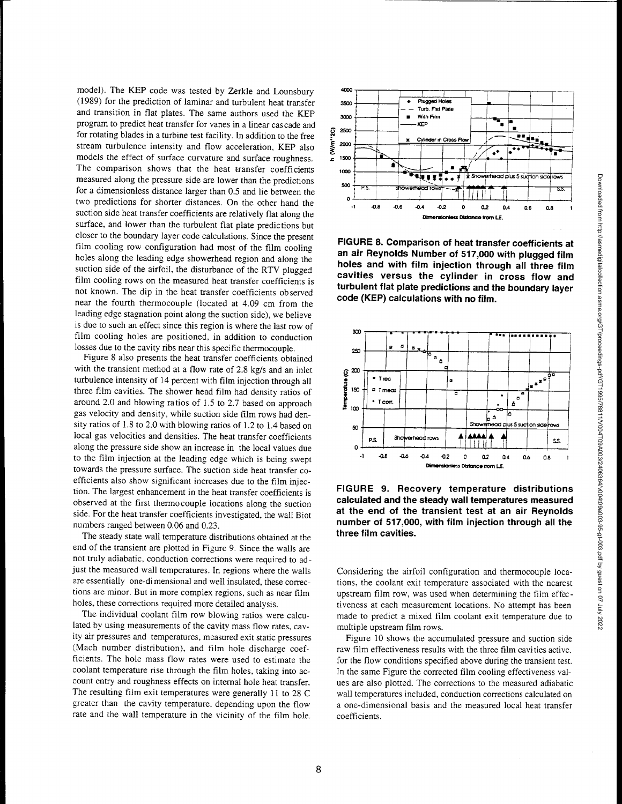model). The KEP code was tested by Zerkle and Lounsbury (1989) for the prediction of laminar and turbulent heat transfer and transition in flat plates. The same authors used the KEP program to predict heat transfer for vanes in a linear cascade and for rotating blades in a turbine test facility. In addition to the free stream turbulence intensity and flow acceleration, KEP also models the effect of surface curvature and surface roughness. The comparison shows that the heat transfer coefficients measured along the pressure side are lower than the predictions for a dimensionless distance larger than 0.5 and lie between the two predictions for shorter distances. On the other hand the suction side heat transfer coefficients are relatively flat along the surface, and lower than the turbulent flat plate predictions but closer to the boundary layer code calculations. Since the present film cooling row configuration had most of the film cooling holes along the leading edge showerhead region and along the suction side of the airfoil, the disturbance of the RTV plugged film cooling rows on the measured heat transfer coefficients is not known. The dip in the heat transfer coefficients observed near the fourth thermocouple (located at 4.09 cm from the leading edge stagnation point along the suction side), we believe is due to such an effect since this region is where the last row of film cooling holes are positioned, in addition to conduction losses due to the cavity ribs near this specific thermocouple.

Figure 8 also presents the heat transfer coefficients obtained with the transient method at a flow rate of 2.8 kg/s and an inlet turbulence intensity of 14 percent with film injection through all three film cavities. The shower head film had density ratios of around 2.0 and blowing ratios of 1.5 to 2.7 based on approach gas velocity and density, while suction side film rows had density ratios of 1.8 to 2.0 with blowing ratios of 1.2 to 1.4 based on local gas velocities and densities. The heat transfer coefficients along the pressure side show an increase in the local values due to the film injection at the leading edge which is being swept towards the pressure surface. The suction side heat transfer coefficients also show significant increases due to the film injection. The largest enhancement in the heat transfer coefficients is observed at the first thermocouple locations along the suction side. For the heat transfer coefficients investigated, the wall Biot numbers ranged between 0.06 and 0.23.

The steady state wall temperature distributions obtained at the end of the transient are plotted in Figure 9. Since the walls are not truly adiabatic, conduction corrections were required to adjust the measured wall temperatures. In regions where the walls are essentially one-di mensional and well insulated, these corrections are minor. But in more complex regions, such as near film holes, these corrections required more detailed analysis.

The individual coolant film row blowing ratios were calculated by using measurements of the cavity mass flow rates, cavity air pressures and temperatures, measured exit static pressures (Mach number distribution), and film hole discharge coefficients. The hole mass flow rates were used to estimate the coolant temperature rise through the film holes, taking into account entry and roughness effects on internal hole heat transfer. The resulting film exit temperatures were generally 11 to 28 C greater than the cavity temperature, depending upon the flow rate and the wall temperature in the vicinity of the film hole.



FIGURE 8. Comparison of heat transfer coefficients at an air Reynolds Number of 517,000 with plugged film holes and with film injection through all three film cavities versus the cylinder in cross flow and turbulent flat plate predictions and the boundary layer code (KEP) calculations with no film.



FIGURE 9. Recovery temperature distributions calculated and the steady wall temperatures measured at the end of the transient test at an air Reynolds number of 517,000, with film injection through all the three film cavities.

Considering the airfoil configuration and thermocouple locations, the coolant exit temperature associated with the nearest upstream film row, was used when determining the film effectiveness at each measurement locations. No attempt has been made to predict a mixed film coolant exit temperature due to multiple upstream film rows.

Figure 10 shows the accumulated pressure and suction side raw film effectiveness results with the three film cavities active, for the flow conditions specified above during the transient test. In the same Figure the corrected film cooling effectiveness values are also plotted. The corrections to the measured adiabatic wall temperatures included, conduction corrections calculated on a one-dimensional basis and the measured local heat transfer coefficients.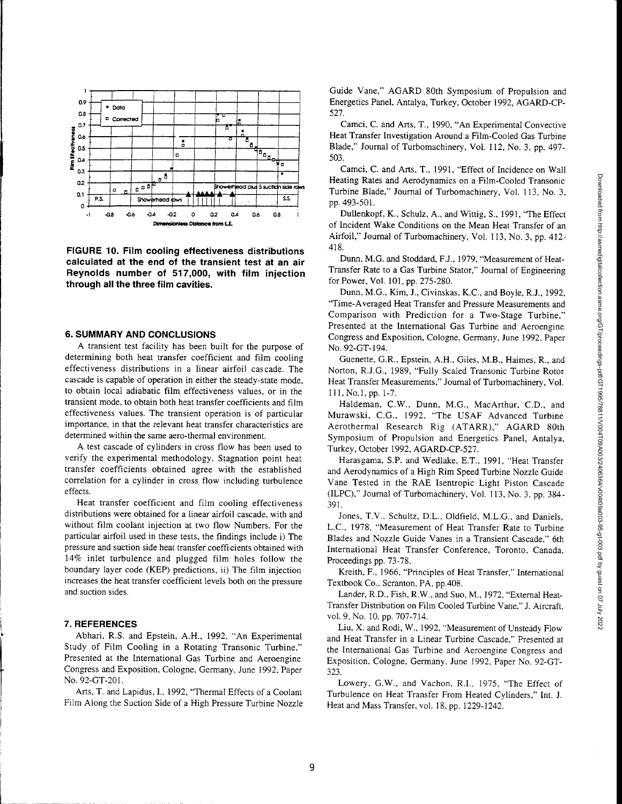

**FIGURE 10. Film cooling effectiveness distributions calculated at the end of the transient test at an air Reynolds number of 517,000, with film injection through all the three film cavities.**

# **6.SUMMARY AND CONCLUSIONS**

A transient test facility has been built for the purpose of determining both heat transfer coefficient and film cooling effectiveness distributions in a linear airfoil cascade. The cascade is capable of operation in either the steady-state mode, to obtain local adiabatic film effectiveness values, or in the transient mode, to obtain both heat transfer coefficients and film effectiveness values. The transient operation is of particular importance, in that the relevant heat transfer characteristics are determined within the same aero-thermal environment.

A test cascade of cylinders in cross flow has been used to verify the experimental methodology. Stagnation point heat transfer coefficients obtained agree with the established correlation for a cylinder in cross flow including turbulence effects.

Heat transfer coefficient and film cooling effectiveness distributions were obtained for a linear airfoil cascade, with and without film coolant injection at two flow Numbers. For the particular airfoil used in these tests, the findings include i) The pressure and suction side heat transfer coefficients obtained with 14% inlet turbulence and plugged film holes follow the boundary layer code (KEP) predictions, ii) The film injection increases the heat transfer coefficient levels both on the pressure and suction sides.

#### **7. REFERENCES**

Abhari, R.S. and Epstein, A.H., 1992, "An Experimental Study of Film Cooling in a Rotating Transonic Turbine," Presented at the International Gas Turbine and Aeroengine Congress and Exposition, Cologne, Germany, June 1992, Paper No. 92-GT-201.

Arts, T. and Lapidus, I., 1992, "Thermal Effects of a Coolant Film Along the Suction Side of a High Pressure Turbine Nozzle

Guide Vane," AGARD 80th Symposium of Propulsion and Energetics Panel, Antalya, Turkey, October 1992, AGARD-CP-527.

Camci, C. and Arts, T., 1990, "An Experimental Convective Heat Transfer Investigation Around a Film-Cooled Gas Turbine Blade," Journal of Turbomachinery, Vol. 112, No. 3, pp. 497- 503.

Camci, C. and Arts. T., 1991, "Effect of Incidence on Wall Heating Rates and Aerodynamics on a Film-Cooled Transonic Turbine Blade," Journal of Turbomachinery, Vol. 113, No. 3, pp. 493-501.

Dullenkopf, K., Schulz, A., and Wittig, S., 1991, "The Effect of Incident Wake Conditions on the Mean Heat Transfer of an Airfoil," Journal of Turbomachinery, Vol. 113, No. 3, pp. 412- 418.

Dunn, M.G. and Stoddard, F.J., 1979, "Measurement of Heat-Transfer Rate to a Gas Turbine Stator," Journal of Engineering for Power, Vol. 101, pp. 275-280.

Dunn, M.G., Kim, J., Civinskas, K.C., and Boyle, R.J., 1992, "Time-Averaged Heat Transfer and Pressure Measurements and Comparison with Prediction for a Two-Stage Turbine," Presented at the International Gas Turbine and Aeroengine Congress and Exposition, Cologne, Germany, June 1992, Paper No. 92-GT-194.

Guenette, G.R., Epstein, A.H., Giles, M.B., Haimes, R., and Norton, R.J.G., 1989, "Fully Scaled Transonic Turbine Rotor Heat Transfer Measurements," Journal of Turbomachinery, Vol. 111, No.1, pp. 1-7.

Haldeman, C.W., Dunn, M.G., MacArthur, C.D., and Murawski, C.G., 1992, "The USAF Advanced Turbine Aerothermal Research Rig (ATARR)," AGARD 80th Symposium of Propulsion and Energetics Panel, Antalya, Turkey, October 1992, AGARD-CP-527.

Harasgama, S.P. and Wedlake, E.T., 1991, "Heat Transfer and Aerodynamics of a High Rim Speed Turbine Nozzle Guide Vane Tested in the RAE Isentropic Light Piston Cascade (ILPC)," Journal of Turbomachinery, Vol. 113, No. 3, pp. 384- 391.

Jones, T.V., Schultz, D.L., Oldfield, M.L.G., and Daniels, L.C., 1978, "Measurement of Heat Transfer Rate to Turbine Blades and Nozzle Guide Vanes in a Transient Cascade," 6th International Heat Transfer Conference, Toronto, Canada, Proceedings pp. 73-78.

Kreith, F., 1966, "Principles of Heat Transfer," International Textbook Co., Scranton, PA, pp.408.

Lander, R.D., Fish, R.W., and Suo, M., 1972, "External Heat-Transfer Distribution on Film Cooled Turbine Vane," J. Aircraft, vol. 9, No. 10, pp. 707-714.

Liu, X. and Rodi, W., 1992, "Measurement of Unsteady Flow and Heat Transfer in a Linear Turbine Cascade," Presented at the International Gas Turbine and Aeroengine Congress and Exposition. Cologne, Germany, June 1992, Paper No. 92-GT-323.

Lowery, G.W., and Vachon, R.I., 1975, "The Effect of Turbulence on Heat Transfer From Heated Cylinders," Int. J. Heat and Mass Transfer, vol. 18, pp. 1229-1242.